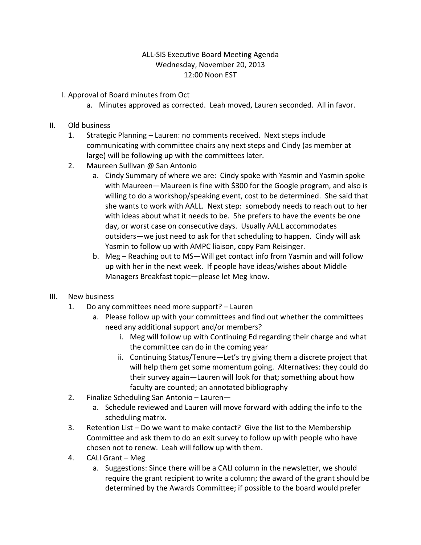## ALL-SIS Executive Board Meeting Agenda Wednesday, November 20, 2013 12:00 Noon EST

- I. Approval of Board minutes from Oct
	- a. Minutes approved as corrected. Leah moved, Lauren seconded. All in favor.
- II. Old business
	- 1. Strategic Planning Lauren: no comments received. Next steps include communicating with committee chairs any next steps and Cindy (as member at large) will be following up with the committees later.
	- 2. Maureen Sullivan @ San Antonio
		- a. Cindy Summary of where we are: Cindy spoke with Yasmin and Yasmin spoke with Maureen—Maureen is fine with \$300 for the Google program, and also is willing to do a workshop/speaking event, cost to be determined. She said that she wants to work with AALL. Next step: somebody needs to reach out to her with ideas about what it needs to be. She prefers to have the events be one day, or worst case on consecutive days. Usually AALL accommodates outsiders—we just need to ask for that scheduling to happen. Cindy will ask Yasmin to follow up with AMPC liaison, copy Pam Reisinger.
		- b. Meg Reaching out to MS—Will get contact info from Yasmin and will follow up with her in the next week. If people have ideas/wishes about Middle Managers Breakfast topic—please let Meg know.
- III. New business
	- 1. Do any committees need more support? Lauren
		- a. Please follow up with your committees and find out whether the committees need any additional support and/or members?
			- i. Meg will follow up with Continuing Ed regarding their charge and what the committee can do in the coming year
			- ii. Continuing Status/Tenure—Let's try giving them a discrete project that will help them get some momentum going. Alternatives: they could do their survey again—Lauren will look for that; something about how faculty are counted; an annotated bibliography
	- 2. Finalize Scheduling San Antonio Lauren
		- a. Schedule reviewed and Lauren will move forward with adding the info to the scheduling matrix.
	- 3. Retention List Do we want to make contact? Give the list to the Membership Committee and ask them to do an exit survey to follow up with people who have chosen not to renew. Leah will follow up with them.
	- 4. CALI Grant Meg
		- a. Suggestions: Since there will be a CALI column in the newsletter, we should require the grant recipient to write a column; the award of the grant should be determined by the Awards Committee; if possible to the board would prefer